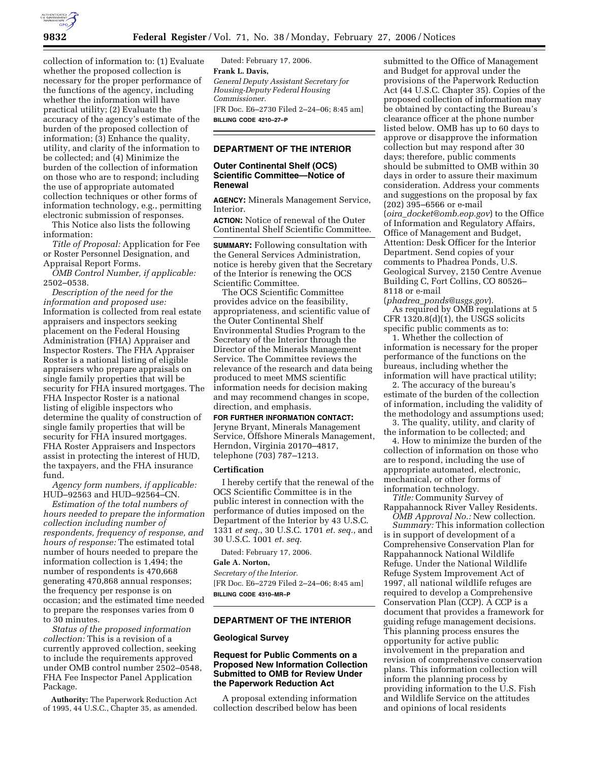

collection of information to: (1) Evaluate whether the proposed collection is necessary for the proper performance of the functions of the agency, including whether the information will have practical utility; (2) Evaluate the accuracy of the agency's estimate of the burden of the proposed collection of information; (3) Enhance the quality, utility, and clarity of the information to be collected; and (4) Minimize the burden of the collection of information on those who are to respond; including the use of appropriate automated collection techniques or other forms of information technology, e.g., permitting electronic submission of responses.

This Notice also lists the following information:

*Title of Proposal:* Application for Fee or Roster Personnel Designation, and Appraisal Report Forms.

*OMB Control Number, if applicable:*  2502–0538.

*Description of the need for the information and proposed use:*  Information is collected from real estate appraisers and inspectors seeking placement on the Federal Housing Administration (FHA) Appraiser and Inspector Rosters. The FHA Appraiser Roster is a national listing of eligible appraisers who prepare appraisals on single family properties that will be security for FHA insured mortgages. The FHA Inspector Roster is a national listing of eligible inspectors who determine the quality of construction of single family properties that will be security for FHA insured mortgages. FHA Roster Appraisers and Inspectors assist in protecting the interest of HUD, the taxpayers, and the FHA insurance fund.

*Agency form numbers, if applicable:*  HUD–92563 and HUD–92564–CN.

*Estimation of the total numbers of hours needed to prepare the information collection including number of respondents, frequency of response, and hours of response:* The estimated total number of hours needed to prepare the information collection is 1,494; the number of respondents is 470,668 generating 470,868 annual responses; the frequency per response is on occasion; and the estimated time needed to prepare the responses varies from 0 to 30 minutes.

*Status of the proposed information collection:* This is a revision of a currently approved collection, seeking to include the requirements approved under OMB control number 2502–0548, FHA Fee Inspector Panel Application Package.

**Authority:** The Paperwork Reduction Act of 1995, 44 U.S.C., Chapter 35, as amended.

Dated: February 17, 2006. **Frank L. Davis,**  *General Deputy Assistant Secretary for Housing-Deputy Federal Housing Commissioner.*  [FR Doc. E6–2730 Filed 2–24–06; 8:45 am] **BILLING CODE 4210–27–P** 

## **DEPARTMENT OF THE INTERIOR**

## **Outer Continental Shelf (OCS) Scientific Committee—Notice of Renewal**

**AGENCY:** Minerals Management Service, Interior.

**ACTION:** Notice of renewal of the Outer Continental Shelf Scientific Committee.

**SUMMARY:** Following consultation with the General Services Administration, notice is hereby given that the Secretary of the Interior is renewing the OCS Scientific Committee.

The OCS Scientific Committee provides advice on the feasibility, appropriateness, and scientific value of the Outer Continental Shelf Environmental Studies Program to the Secretary of the Interior through the Director of the Minerals Management Service. The Committee reviews the relevance of the research and data being produced to meet MMS scientific information needs for decision making and may recommend changes in scope, direction, and emphasis.

# **FOR FURTHER INFORMATION CONTACT:**

Jeryne Bryant, Minerals Management Service, Offshore Minerals Management, Herndon, Virginia 20170–4817, telephone (703) 787–1213.

## **Certification**

I hereby certify that the renewal of the OCS Scientific Committee is in the public interest in connection with the performance of duties imposed on the Department of the Interior by 43 U.S.C. 1331 *et seq.*, 30 U.S.C. 1701 *et. seq.*, and 30 U.S.C. 1001 *et. seq.* 

Dated: February 17, 2006.

## **Gale A. Norton,**

*Secretary of the Interior.*  [FR Doc. E6–2729 Filed 2–24–06; 8:45 am] **BILLING CODE 4310–MR–P** 

## **DEPARTMENT OF THE INTERIOR**

## **Geological Survey**

## **Request for Public Comments on a Proposed New Information Collection Submitted to OMB for Review Under the Paperwork Reduction Act**

A proposal extending information collection described below has been

submitted to the Office of Management and Budget for approval under the provisions of the Paperwork Reduction Act (44 U.S.C. Chapter 35). Copies of the proposed collection of information may be obtained by contacting the Bureau's clearance officer at the phone number listed below. OMB has up to 60 days to approve or disapprove the information collection but may respond after 30 days; therefore, public comments should be submitted to OMB within 30 days in order to assure their maximum consideration. Address your comments and suggestions on the proposal by fax (202) 395–6566 or e-mail (*oira*\_*docket@omb.eop.gov*) to the Office of Information and Regulatory Affairs, Office of Management and Budget, Attention: Desk Officer for the Interior Department. Send copies of your comments to Phadrea Ponds, U.S. Geological Survey, 2150 Centre Avenue Building C, Fort Collins, CO 80526– 8118 or e-mail

(*phadrea*\_*ponds@usgs.gov*). As required by OMB regulations at 5 CFR 1320.8(d)(1), the USGS solicits specific public comments as to:

1. Whether the collection of information is necessary for the proper performance of the functions on the bureaus, including whether the information will have practical utility;

2. The accuracy of the bureau's estimate of the burden of the collection of information, including the validity of the methodology and assumptions used;

3. The quality, utility, and clarity of the information to be collected; and

4. How to minimize the burden of the collection of information on those who are to respond, including the use of appropriate automated, electronic, mechanical, or other forms of information technology.

*Title:* Community Survey of Rappahannock River Valley Residents. *OMB Approval No.:* New collection.

*Summary:* This information collection is in support of development of a Comprehensive Conservation Plan for Rappahannock National Wildlife Refuge. Under the National Wildlife Refuge System Improvement Act of 1997, all national wildlife refuges are required to develop a Comprehensive Conservation Plan (CCP). A CCP is a document that provides a framework for guiding refuge management decisions. This planning process ensures the opportunity for active public involvement in the preparation and revision of comprehensive conservation plans. This information collection will inform the planning process by providing information to the U.S. Fish and Wildlife Service on the attitudes and opinions of local residents